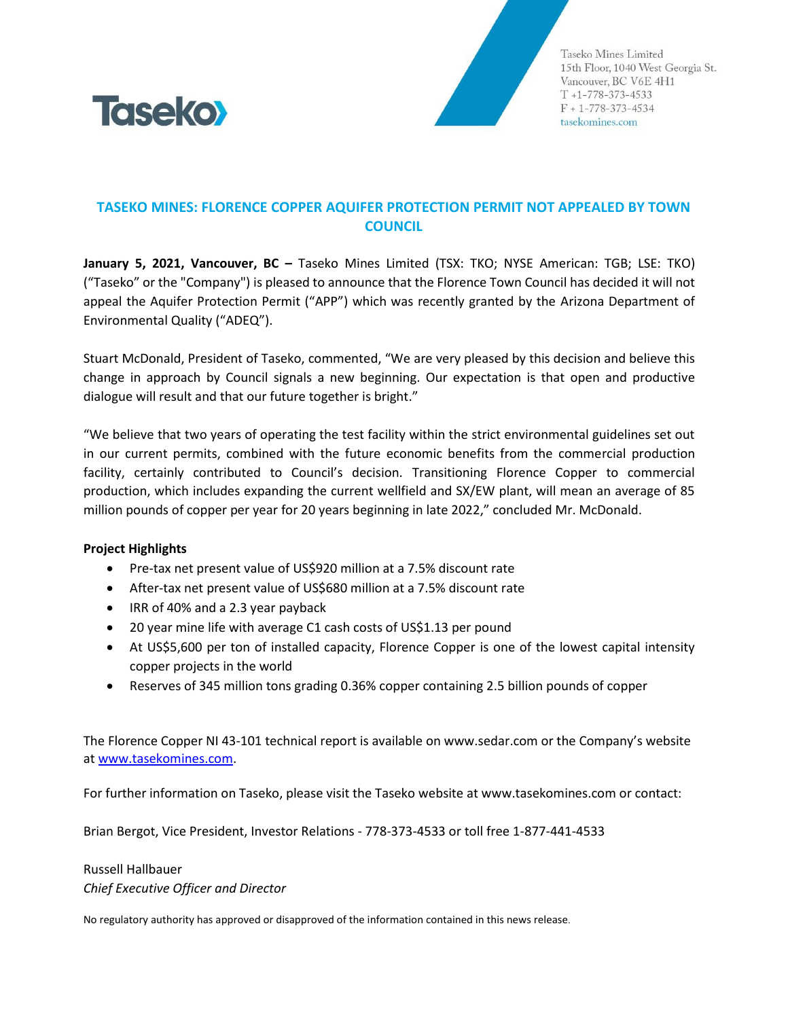

Taseko Mines Limited 15th Floor, 1040 West Georgia St. Vancouver, BC V6E 4H1  $T + 1 - 778 - 373 - 4533$  $F + 1 - 778 - 373 - 4534$ tasekomines.com

## **TASEKO MINES: FLORENCE COPPER AQUIFER PROTECTION PERMIT NOT APPEALED BY TOWN COUNCIL**

**January 5, 2021, Vancouver, BC –** Taseko Mines Limited (TSX: TKO; NYSE American: TGB; LSE: TKO) ("Taseko" or the "Company") is pleased to announce that the Florence Town Council has decided it will not appeal the Aquifer Protection Permit ("APP") which was recently granted by the Arizona Department of Environmental Quality ("ADEQ").

Stuart McDonald, President of Taseko, commented, "We are very pleased by this decision and believe this change in approach by Council signals a new beginning. Our expectation is that open and productive dialogue will result and that our future together is bright."

"We believe that two years of operating the test facility within the strict environmental guidelines set out in our current permits, combined with the future economic benefits from the commercial production facility, certainly contributed to Council's decision. Transitioning Florence Copper to commercial production, which includes expanding the current wellfield and SX/EW plant, will mean an average of 85 million pounds of copper per year for 20 years beginning in late 2022," concluded Mr. McDonald.

## **Project Highlights**

- Pre-tax net present value of US\$920 million at a 7.5% discount rate
- After-tax net present value of US\$680 million at a 7.5% discount rate
- IRR of 40% and a 2.3 year payback
- 20 year mine life with average C1 cash costs of US\$1.13 per pound
- At US\$5,600 per ton of installed capacity, Florence Copper is one of the lowest capital intensity copper projects in the world
- Reserves of 345 million tons grading 0.36% copper containing 2.5 billion pounds of copper

The Florence Copper NI 43-101 technical report is available on www.sedar.com or the Company's website at [www.tasekomines.com.](http://www.tasekomines.com/)

For further information on Taseko, please visit the Taseko website at www.tasekomines.com or contact:

Brian Bergot, Vice President, Investor Relations - 778-373-4533 or toll free 1-877-441-4533

## Russell Hallbauer *Chief Executive Officer and Director*

No regulatory authority has approved or disapproved of the information contained in this news release.